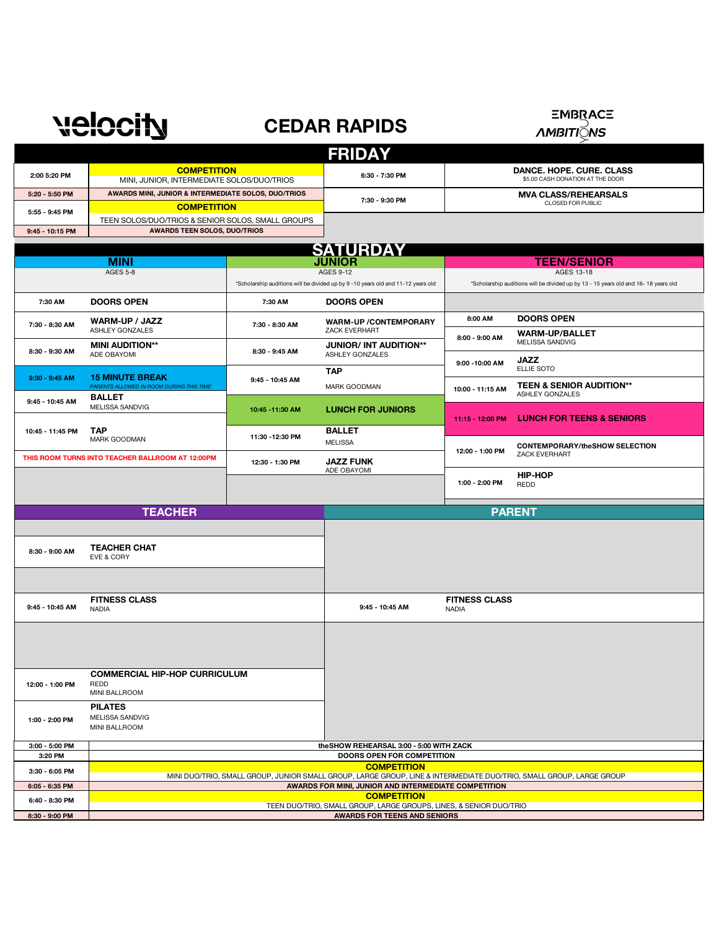## **CEDAR RAPIDS**

**EMBRACE** 

*AMBITI***ONS** 

| <b>FRIDAY</b>                                       |                                                                                                                     |                                                                                  |                                                         |                                                                                     |                                                        |  |  |
|-----------------------------------------------------|---------------------------------------------------------------------------------------------------------------------|----------------------------------------------------------------------------------|---------------------------------------------------------|-------------------------------------------------------------------------------------|--------------------------------------------------------|--|--|
| 2:00 5:20 PM                                        | <b>COMPETITION</b><br>MINI, JUNIOR, INTERMEDIATE SOLOS/DUO/TRIOS                                                    |                                                                                  | 6:30 - 7:30 PM                                          | DANCE. HOPE. CURE. CLASS<br>\$5.00 CASH DONATION AT THE DOOR                        |                                                        |  |  |
| 5:20 - 5:50 PM                                      | AWARDS MINI, JUNIOR & INTERMEDIATE SOLOS, DUO/TRIOS                                                                 |                                                                                  | 7:30 - 9:30 PM                                          |                                                                                     | <b>MVA CLASS/REHEARSALS</b>                            |  |  |
| 5:55 - 9:45 PM                                      | <b>COMPETITION</b>                                                                                                  |                                                                                  |                                                         |                                                                                     | CLOSED FOR PUBLIC                                      |  |  |
| 9:45 - 10:15 PM                                     | TEEN SOLOS/DUO/TRIOS & SENIOR SOLOS, SMALL GROUPS<br><b>AWARDS TEEN SOLOS, DUO/TRIOS</b>                            |                                                                                  |                                                         |                                                                                     |                                                        |  |  |
|                                                     |                                                                                                                     |                                                                                  |                                                         |                                                                                     |                                                        |  |  |
|                                                     |                                                                                                                     |                                                                                  | <b>SATURDAY</b><br><b>JUNIOR</b>                        |                                                                                     |                                                        |  |  |
|                                                     | <b>MINI</b><br><b>AGES 5-8</b>                                                                                      |                                                                                  | <b>AGES 9-12</b>                                        | <b>TEEN/SENIOR</b><br>AGES 13-18                                                    |                                                        |  |  |
|                                                     |                                                                                                                     | *Scholarship auditions will be divided up by 9 -10 years old and 11-12 years old |                                                         | *Scholarship auditions will be divided up by 13 - 15 years old and 16- 18 years old |                                                        |  |  |
| 7:30 AM                                             | <b>DOORS OPEN</b>                                                                                                   | 7:30 AM                                                                          | <b>DOORS OPEN</b>                                       |                                                                                     |                                                        |  |  |
| 7:30 - 8:30 AM                                      | WARM-UP / JAZZ<br>ASHLEY GONZALES                                                                                   | 7:30 - 8:30 AM                                                                   | <b>WARM-UP/CONTEMPORARY</b><br>ZACK EVERHART            | 8:00 AM                                                                             | <b>DOORS OPEN</b><br><b>WARM-UP/BALLET</b>             |  |  |
| 8:30 - 9:30 AM                                      | <b>MINI AUDITION**</b><br>ADE OBAYOMI                                                                               | 8:30 - 9:45 AM                                                                   | <b>JUNIOR/ INT AUDITION**</b><br><b>ASHLEY GONZALES</b> | 8:00 - 9:00 AM                                                                      | MELISSA SANDVIG<br><b>JAZZ</b>                         |  |  |
|                                                     |                                                                                                                     |                                                                                  | <b>TAP</b>                                              | 9:00 - 10:00 AM                                                                     | ELLIE SOTO                                             |  |  |
| $9:30 - 9:45$ AM                                    | <b>15 MINUTE BREAK</b><br>PARENTS ALLOWED IN ROOM DURING THIS TIME<br><b>BALLET</b>                                 | 9:45 - 10:45 AM                                                                  | MARK GOODMAN                                            | 10:00 - 11:15 AM                                                                    | <b>TEEN &amp; SENIOR AUDITION**</b><br>ASHLEY GONZALES |  |  |
| 9:45 - 10:45 AM                                     | MELISSA SANDVIG                                                                                                     | 10:45 - 11:30 AM                                                                 | <b>LUNCH FOR JUNIORS</b>                                | 11:15 - 12:00 PM                                                                    | <b>LUNCH FOR TEENS &amp; SENIORS</b>                   |  |  |
| 10:45 - 11:45 PM                                    | <b>TAP</b><br>MARK GOODMAN                                                                                          | 11:30 - 12:30 PM                                                                 | <b>BALLET</b><br><b>MELISSA</b>                         | 12:00 - 1:00 PM                                                                     | <b>CONTEMPORARY/theSHOW SELECTION</b>                  |  |  |
| THIS ROOM TURNS INTO TEACHER BALLROOM AT 12:00PM    |                                                                                                                     | 12:30 - 1:30 PM                                                                  | <b>JAZZ FUNK</b><br>ADE OBAYOMI                         |                                                                                     | ZACK EVERHART                                          |  |  |
|                                                     |                                                                                                                     |                                                                                  |                                                         | 1:00 - 2:00 PM                                                                      | <b>HIP-HOP</b><br><b>REDD</b>                          |  |  |
| <b>TEACHER</b>                                      |                                                                                                                     |                                                                                  |                                                         |                                                                                     | <b>PARENT</b>                                          |  |  |
|                                                     |                                                                                                                     |                                                                                  |                                                         |                                                                                     |                                                        |  |  |
| <b>TEACHER CHAT</b><br>8:30 - 9:00 AM<br>EVE & CORY |                                                                                                                     |                                                                                  |                                                         |                                                                                     |                                                        |  |  |
|                                                     |                                                                                                                     |                                                                                  |                                                         |                                                                                     |                                                        |  |  |
| 9:45 - 10:45 AM                                     | <b>FITNESS CLASS</b><br><b>NADIA</b>                                                                                |                                                                                  | 9:45 - 10:45 AM                                         | <b>FITNESS CLASS</b><br><b>NADIA</b>                                                |                                                        |  |  |
|                                                     |                                                                                                                     |                                                                                  |                                                         |                                                                                     |                                                        |  |  |
| 12:00 - 1:00 PM                                     | <b>COMMERCIAL HIP-HOP CURRICULUM</b><br>REDD<br>MINI BALLROOM                                                       |                                                                                  |                                                         |                                                                                     |                                                        |  |  |
| 1:00 - 2:00 PM                                      | <b>PILATES</b><br>MELISSA SANDVIG<br>MINI BALLROOM                                                                  |                                                                                  |                                                         |                                                                                     |                                                        |  |  |
| 3:00 - 5:00 PM                                      | theSHOW REHEARSAL 3:00 - 5:00 WITH ZACK                                                                             |                                                                                  |                                                         |                                                                                     |                                                        |  |  |
| 3:20 PM                                             | DOORS OPEN FOR COMPETITION<br><b>COMPETITION</b>                                                                    |                                                                                  |                                                         |                                                                                     |                                                        |  |  |
| 3:30 - 6:05 PM                                      | MINI DUO/TRIO, SMALL GROUP, JUNIOR SMALL GROUP, LARGE GROUP, LINE & INTERMEDIATE DUO/TRIO, SMALL GROUP, LARGE GROUP |                                                                                  |                                                         |                                                                                     |                                                        |  |  |
| 6:05 - 6:35 PM                                      | AWARDS FOR MINI, JUNIOR AND INTERMEDIATE COMPETITION<br><b>COMPETITION</b>                                          |                                                                                  |                                                         |                                                                                     |                                                        |  |  |
| 6:40 - 8:30 PM                                      | TEEN DUO/TRIO, SMALL GROUP, LARGE GROUPS, LINES, & SENIOR DUO/TRIO                                                  |                                                                                  |                                                         |                                                                                     |                                                        |  |  |
| 8:30 - 9:00 PM                                      | AWARDS FOR TEENS AND SENIORS                                                                                        |                                                                                  |                                                         |                                                                                     |                                                        |  |  |

velocity